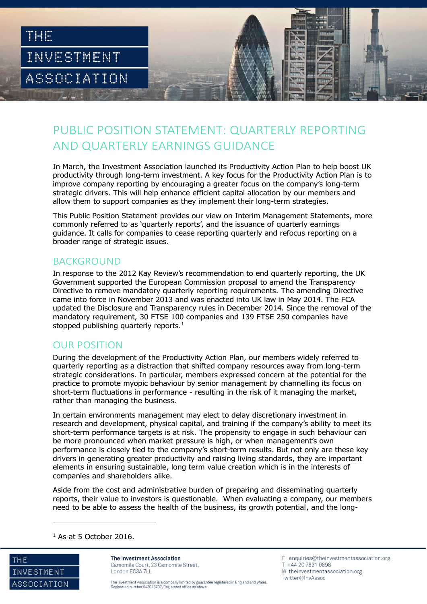

## PUBLIC POSITION STATEMENT: QUARTERLY REPORTING AND QUARTERLY EARNINGS GUIDANCE

In March, the Investment Association launched its Productivity Action Plan to help boost UK productivity through long-term investment. A key focus for the Productivity Action Plan is to improve company reporting by encouraging a greater focus on the company's long-term strategic drivers. This will help enhance efficient capital allocation by our members and allow them to support companies as they implement their long-term strategies.

This Public Position Statement provides our view on Interim Management Statements, more commonly referred to as 'quarterly reports', and the issuance of quarterly earnings guidance. It calls for companies to cease reporting quarterly and refocus reporting on a broader range of strategic issues.

### BACKGROUND

In response to the 2012 Kay Review's recommendation to end quarterly reporting, the UK Government supported the European Commission proposal to amend the Transparency Directive to remove mandatory quarterly reporting requirements. The amending Directive came into force in November 2013 and was enacted into UK law in May 2014. The FCA updated the Disclosure and Transparency rules in December 2014. Since the removal of the mandatory requirement, 30 FTSE 100 companies and 139 FTSE 250 companies have stopped publishing quarterly reports.<sup>1</sup>

#### OUR POSITION

During the development of the Productivity Action Plan, our members widely referred to quarterly reporting as a distraction that shifted company resources away from long-term strategic considerations. In particular, members expressed concern at the potential for the practice to promote myopic behaviour by senior management by channelling its focus on short-term fluctuations in performance - resulting in the risk of it managing the market, rather than managing the business.

In certain environments management may elect to delay discretionary investment in research and development, physical capital, and training if the company's ability to meet its short-term performance targets is at risk. The propensity to engage in such behaviour can be more pronounced when market pressure is high, or when management's own performance is closely tied to the company's short-term results. But not only are these key drivers in generating greater productivity and raising living standards, they are important elements in ensuring sustainable, long term value creation which is in the interests of companies and shareholders alike.

Aside from the cost and administrative burden of preparing and disseminating quarterly reports, their value to investors is questionable. When evaluating a company, our members need to be able to assess the health of the business, its growth potential, and the long-

 $<sup>1</sup>$  As at 5 October 2016.</sup>



j

The Investment Association Camomile Court, 23 Camomile Street, London EC3A 7LL

The Investment Association is a company limited by guarantee registered in England and Wales Registered number 043043737. Registered office as above.

E enquiries@theinvestmentassociation.org T +44 20 7831 0898 W theinvestmentassociation.org Twitter@InvAssoc